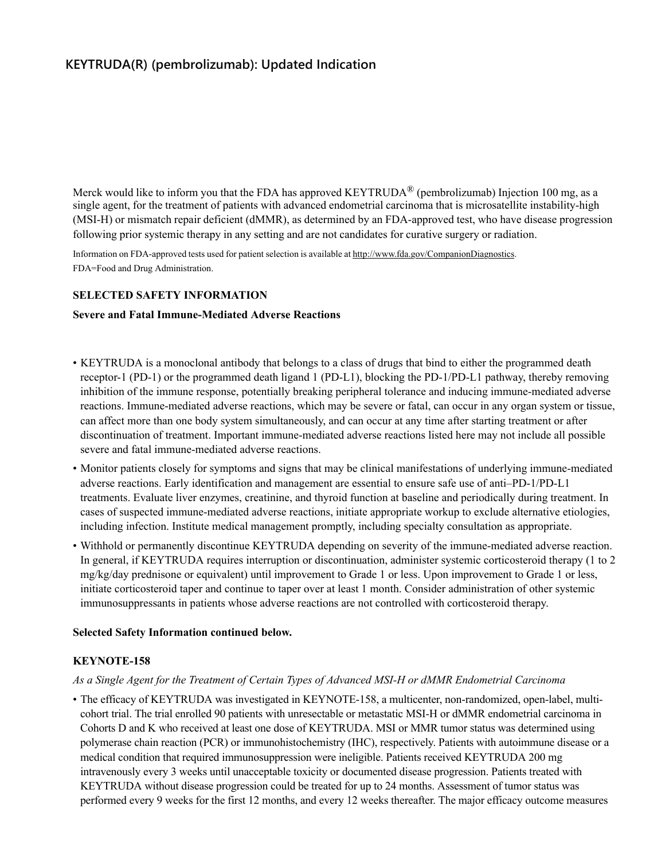# **KEYTRUDA(R) (pembrolizumab): Updated Indication**

Merck would like to inform you that the FDA has approved KEYTRUDA<sup>®</sup> (pembrolizumab) Injection 100 mg, as a single agent, for the treatment of patients with advanced endometrial carcinoma that is microsatellite instability-high (MSI-H) or mismatch repair deficient (dMMR), as determined by an FDA-approved test, who have disease progression following prior systemic therapy in any setting and are not candidates for curative surgery or radiation.

Information on FDA-approved tests used for patient selection is available at [http://www.fda.gov/CompanionDiagnostics.](http://www.fda.gov/CompanionDiagnostics) FDA=Food and Drug Administration.

#### **SELECTED SAFETY INFORMATION**

#### **Severe and Fatal Immune-Mediated Adverse Reactions**

- KEYTRUDA is a monoclonal antibody that belongs to a class of drugs that bind to either the programmed death receptor-1 (PD-1) or the programmed death ligand 1 (PD-L1), blocking the PD-1/PD-L1 pathway, thereby removing inhibition of the immune response, potentially breaking peripheral tolerance and inducing immune-mediated adverse reactions. Immune-mediated adverse reactions, which may be severe or fatal, can occur in any organ system or tissue, can affect more than one body system simultaneously, and can occur at any time after starting treatment or after discontinuation of treatment. Important immune-mediated adverse reactions listed here may not include all possible severe and fatal immune-mediated adverse reactions.
- Monitor patients closely for symptoms and signs that may be clinical manifestations of underlying immune-mediated adverse reactions. Early identification and management are essential to ensure safe use of anti–PD-1/PD-L1 treatments. Evaluate liver enzymes, creatinine, and thyroid function at baseline and periodically during treatment. In cases of suspected immune-mediated adverse reactions, initiate appropriate workup to exclude alternative etiologies, including infection. Institute medical management promptly, including specialty consultation as appropriate.
- Withhold or permanently discontinue KEYTRUDA depending on severity of the immune-mediated adverse reaction. In general, if KEYTRUDA requires interruption or discontinuation, administer systemic corticosteroid therapy (1 to 2 mg/kg/day prednisone or equivalent) until improvement to Grade 1 or less. Upon improvement to Grade 1 or less, initiate corticosteroid taper and continue to taper over at least 1 month. Consider administration of other systemic immunosuppressants in patients whose adverse reactions are not controlled with corticosteroid therapy.

#### **Selected Safety Information continued below.**

#### **KEYNOTE-158**

#### *As a Single Agent for the Treatment of Certain Types of Advanced MSI-H or dMMR Endometrial Carcinoma*

• The efficacy of KEYTRUDA was investigated in KEYNOTE-158, a multicenter, non-randomized, open-label, multicohort trial. The trial enrolled 90 patients with unresectable or metastatic MSI-H or dMMR endometrial carcinoma in Cohorts D and K who received at least one dose of KEYTRUDA. MSI or MMR tumor status was determined using polymerase chain reaction (PCR) or immunohistochemistry (IHC), respectively. Patients with autoimmune disease or a medical condition that required immunosuppression were ineligible. Patients received KEYTRUDA 200 mg intravenously every 3 weeks until unacceptable toxicity or documented disease progression. Patients treated with KEYTRUDA without disease progression could be treated for up to 24 months. Assessment of tumor status was performed every 9 weeks for the first 12 months, and every 12 weeks thereafter. The major efficacy outcome measures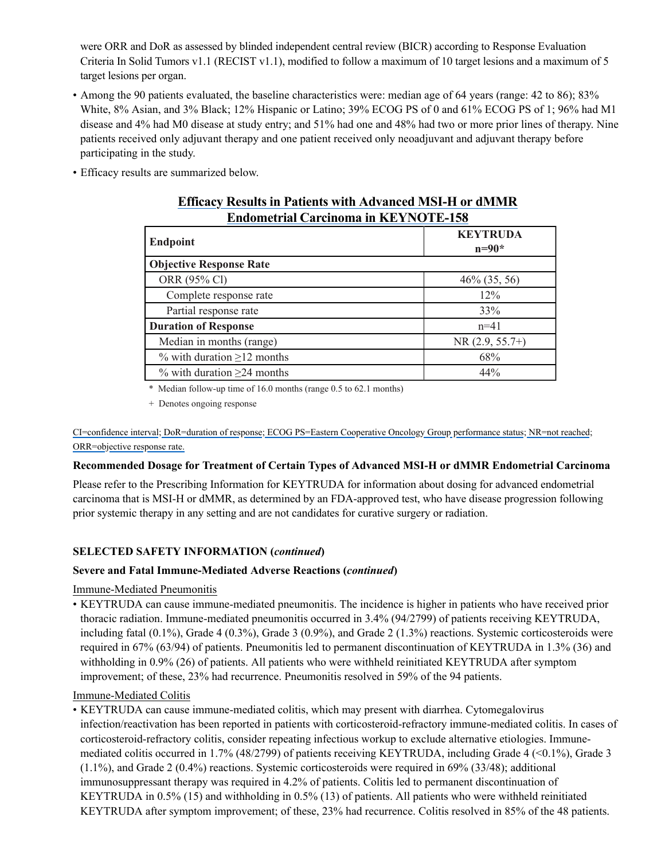were ORR and DoR as assessed by blinded independent central review (BICR) according to Response Evaluation Criteria In Solid Tumors v1.1 (RECIST v1.1), modified to follow a maximum of 10 target lesions and a maximum of 5 target lesions per organ.

- Among the 90 patients evaluated, the baseline characteristics were: median age of 64 years (range: 42 to 86); 83% White, 8% Asian, and 3% Black; 12% Hispanic or Latino; 39% ECOG PS of 0 and 61% ECOG PS of 1; 96% had M1 disease and 4% had M0 disease at study entry; and 51% had one and 48% had two or more prior lines of therapy. Nine patients received only adjuvant therapy and one patient received only neoadjuvant and adjuvant therapy before participating in the study.
- Efficacy results are summarized below.

| Engometrial Carcinoma in RE 1 INO I E-150 |                            |
|-------------------------------------------|----------------------------|
| <b>Endpoint</b>                           | <b>KEYTRUDA</b><br>$n=90*$ |
| <b>Objective Response Rate</b>            |                            |
| ORR (95% Cl)                              | $46\%$ (35, 56)            |
| Complete response rate                    | 12%                        |
| Partial response rate                     | 33%                        |
| <b>Duration of Response</b>               | $n=41$                     |
| Median in months (range)                  | $NR(2.9, 55.7+)$           |
| % with duration $\geq$ 12 months          | 68%                        |
| $\%$ with duration $\geq$ 24 months       | 44%                        |

## **Efficacy Results in Patients with Advanced MSI-H or dMMR Endometrial Carcinoma in KEYNOTE-158**

\* Median follow-up time of 16.0 months (range 0.5 to 62.1 months)

+ Denotes ongoing response

CI=confidence interval; DoR=duration of response; ECOG PS=Eastern Cooperative Oncology Group performance status; NR=not reached; ORR=objective response rate.

### **Recommended Dosage for Treatment of Certain Types of Advanced MSI-H or dMMR Endometrial Carcinoma**

Please refer to the Prescribing Information for KEYTRUDA for information about dosing for advanced endometrial carcinoma that is MSI-H or dMMR, as determined by an FDA-approved test, who have disease progression following prior systemic therapy in any setting and are not candidates for curative surgery or radiation.

## **SELECTED SAFETY INFORMATION (***continued***)**

### **Severe and Fatal Immune-Mediated Adverse Reactions (***continued***)**

### Immune-Mediated Pneumonitis

• KEYTRUDA can cause immune-mediated pneumonitis. The incidence is higher in patients who have received prior thoracic radiation. Immune-mediated pneumonitis occurred in 3.4% (94/2799) of patients receiving KEYTRUDA, including fatal (0.1%), Grade 4 (0.3%), Grade 3 (0.9%), and Grade 2 (1.3%) reactions. Systemic corticosteroids were required in 67% (63/94) of patients. Pneumonitis led to permanent discontinuation of KEYTRUDA in 1.3% (36) and withholding in 0.9% (26) of patients. All patients who were withheld reinitiated KEYTRUDA after symptom improvement; of these, 23% had recurrence. Pneumonitis resolved in 59% of the 94 patients.

### Immune-Mediated Colitis

• KEYTRUDA can cause immune-mediated colitis, which may present with diarrhea. Cytomegalovirus infection/reactivation has been reported in patients with corticosteroid-refractory immune-mediated colitis. In cases of corticosteroid-refractory colitis, consider repeating infectious workup to exclude alternative etiologies. Immunemediated colitis occurred in 1.7% (48/2799) of patients receiving KEYTRUDA, including Grade 4 (<0.1%), Grade 3 (1.1%), and Grade 2 (0.4%) reactions. Systemic corticosteroids were required in 69% (33/48); additional immunosuppressant therapy was required in 4.2% of patients. Colitis led to permanent discontinuation of KEYTRUDA in 0.5% (15) and withholding in 0.5% (13) of patients. All patients who were withheld reinitiated KEYTRUDA after symptom improvement; of these, 23% had recurrence. Colitis resolved in 85% of the 48 patients.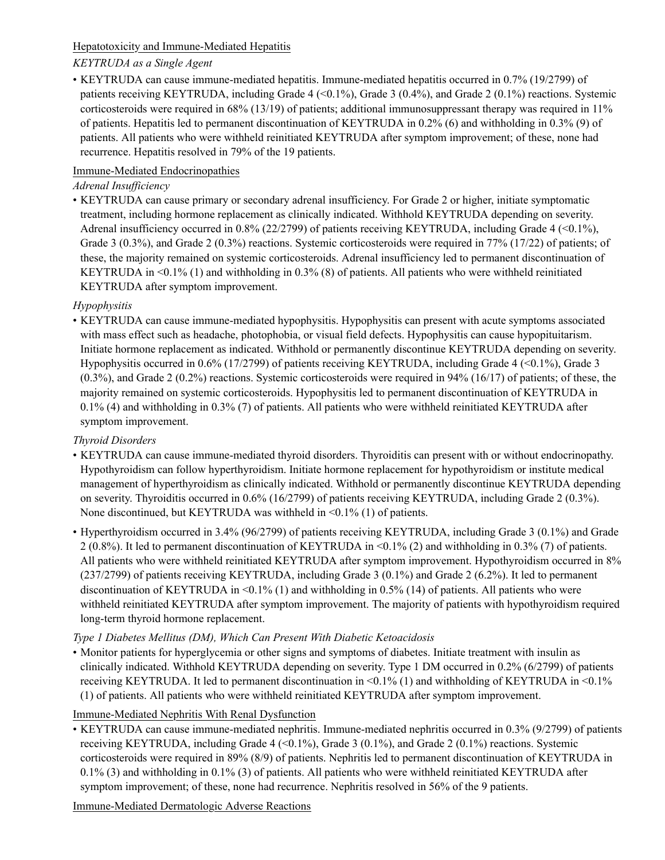## Hepatotoxicity and Immune-Mediated Hepatitis

## *KEYTRUDA as a Single Agent*

• KEYTRUDA can cause immune-mediated hepatitis. Immune-mediated hepatitis occurred in 0.7% (19/2799) of patients receiving KEYTRUDA, including Grade 4  $(0.1\%)$ , Grade 3  $(0.4\%)$ , and Grade 2  $(0.1\%)$  reactions. Systemic corticosteroids were required in 68% (13/19) of patients; additional immunosuppressant therapy was required in 11% of patients. Hepatitis led to permanent discontinuation of KEYTRUDA in 0.2% (6) and withholding in 0.3% (9) of patients. All patients who were withheld reinitiated KEYTRUDA after symptom improvement; of these, none had recurrence. Hepatitis resolved in 79% of the 19 patients.

## Immune-Mediated Endocrinopathies

## *Adrenal Insufficiency*

• KEYTRUDA can cause primary or secondary adrenal insufficiency. For Grade 2 or higher, initiate symptomatic treatment, including hormone replacement as clinically indicated. Withhold KEYTRUDA depending on severity. Adrenal insufficiency occurred in 0.8% (22/2799) of patients receiving KEYTRUDA, including Grade 4 (<0.1%), Grade 3 (0.3%), and Grade 2 (0.3%) reactions. Systemic corticosteroids were required in 77% (17/22) of patients; of these, the majority remained on systemic corticosteroids. Adrenal insufficiency led to permanent discontinuation of KEYTRUDA in <0.1% (1) and withholding in 0.3% (8) of patients. All patients who were withheld reinitiated KEYTRUDA after symptom improvement.

## *Hypophysitis*

• KEYTRUDA can cause immune-mediated hypophysitis. Hypophysitis can present with acute symptoms associated with mass effect such as headache, photophobia, or visual field defects. Hypophysitis can cause hypopituitarism. Initiate hormone replacement as indicated. Withhold or permanently discontinue KEYTRUDA depending on severity. Hypophysitis occurred in 0.6% (17/2799) of patients receiving KEYTRUDA, including Grade 4 (<0.1%), Grade 3  $(0.3\%)$ , and Grade 2  $(0.2\%)$  reactions. Systemic corticosteroids were required in 94%  $(16/17)$  of patients; of these, the majority remained on systemic corticosteroids. Hypophysitis led to permanent discontinuation of KEYTRUDA in 0.1% (4) and withholding in 0.3% (7) of patients. All patients who were withheld reinitiated KEYTRUDA after symptom improvement.

## *Thyroid Disorders*

- KEYTRUDA can cause immune-mediated thyroid disorders. Thyroiditis can present with or without endocrinopathy. Hypothyroidism can follow hyperthyroidism. Initiate hormone replacement for hypothyroidism or institute medical management of hyperthyroidism as clinically indicated. Withhold or permanently discontinue KEYTRUDA depending on severity. Thyroiditis occurred in 0.6% (16/2799) of patients receiving KEYTRUDA, including Grade 2 (0.3%). None discontinued, but KEYTRUDA was withheld in <0.1% (1) of patients.
- Hyperthyroidism occurred in 3.4% (96/2799) of patients receiving KEYTRUDA, including Grade 3 (0.1%) and Grade 2 (0.8%). It led to permanent discontinuation of KEYTRUDA in <0.1% (2) and withholding in 0.3% (7) of patients. All patients who were withheld reinitiated KEYTRUDA after symptom improvement. Hypothyroidism occurred in 8% (237/2799) of patients receiving KEYTRUDA, including Grade 3 (0.1%) and Grade 2 (6.2%). It led to permanent discontinuation of KEYTRUDA in <0.1% (1) and withholding in 0.5% (14) of patients. All patients who were withheld reinitiated KEYTRUDA after symptom improvement. The majority of patients with hypothyroidism required long-term thyroid hormone replacement.

## *Type 1 Diabetes Mellitus (DM), Which Can Present With Diabetic Ketoacidosis*

• Monitor patients for hyperglycemia or other signs and symptoms of diabetes. Initiate treatment with insulin as clinically indicated. Withhold KEYTRUDA depending on severity. Type 1 DM occurred in 0.2% (6/2799) of patients receiving KEYTRUDA. It led to permanent discontinuation in <0.1% (1) and withholding of KEYTRUDA in <0.1% (1) of patients. All patients who were withheld reinitiated KEYTRUDA after symptom improvement.

## Immune-Mediated Nephritis With Renal Dysfunction

• KEYTRUDA can cause immune-mediated nephritis. Immune-mediated nephritis occurred in 0.3% (9/2799) of patients receiving KEYTRUDA, including Grade 4 (<0.1%), Grade 3 (0.1%), and Grade 2 (0.1%) reactions. Systemic corticosteroids were required in 89% (8/9) of patients. Nephritis led to permanent discontinuation of KEYTRUDA in 0.1% (3) and withholding in 0.1% (3) of patients. All patients who were withheld reinitiated KEYTRUDA after symptom improvement; of these, none had recurrence. Nephritis resolved in 56% of the 9 patients.

Immune-Mediated Dermatologic Adverse Reactions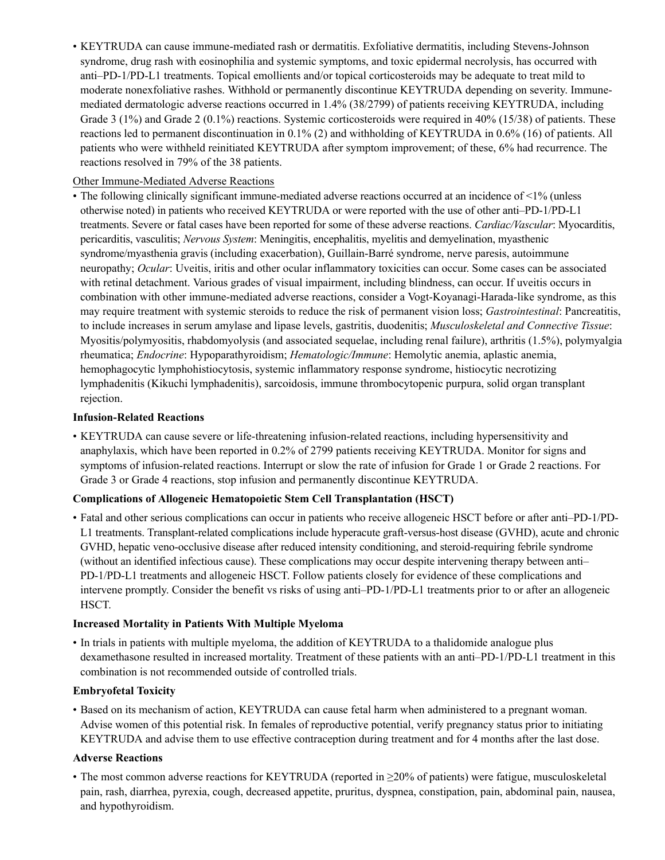• KEYTRUDA can cause immune-mediated rash or dermatitis. Exfoliative dermatitis, including Stevens-Johnson syndrome, drug rash with eosinophilia and systemic symptoms, and toxic epidermal necrolysis, has occurred with anti–PD-1/PD-L1 treatments. Topical emollients and/or topical corticosteroids may be adequate to treat mild to moderate nonexfoliative rashes. Withhold or permanently discontinue KEYTRUDA depending on severity. Immunemediated dermatologic adverse reactions occurred in 1.4% (38/2799) of patients receiving KEYTRUDA, including Grade 3 (1%) and Grade 2 (0.1%) reactions. Systemic corticosteroids were required in 40% (15/38) of patients. These reactions led to permanent discontinuation in 0.1% (2) and withholding of KEYTRUDA in 0.6% (16) of patients. All patients who were withheld reinitiated KEYTRUDA after symptom improvement; of these, 6% had recurrence. The reactions resolved in 79% of the 38 patients.

### Other Immune-Mediated Adverse Reactions

• The following clinically significant immune-mediated adverse reactions occurred at an incidence of <1% (unless otherwise noted) in patients who received KEYTRUDA or were reported with the use of other anti–PD-1/PD-L1 treatments. Severe or fatal cases have been reported for some of these adverse reactions. *Cardiac/Vascular*: Myocarditis, pericarditis, vasculitis; *Nervous System*: Meningitis, encephalitis, myelitis and demyelination, myasthenic syndrome/myasthenia gravis (including exacerbation), Guillain-Barré syndrome, nerve paresis, autoimmune neuropathy; *Ocular*: Uveitis, iritis and other ocular inflammatory toxicities can occur. Some cases can be associated with retinal detachment. Various grades of visual impairment, including blindness, can occur. If uveitis occurs in combination with other immune-mediated adverse reactions, consider a Vogt-Koyanagi-Harada-like syndrome, as this may require treatment with systemic steroids to reduce the risk of permanent vision loss; *Gastrointestinal*: Pancreatitis, to include increases in serum amylase and lipase levels, gastritis, duodenitis; *Musculoskeletal and Connective Tissue*: Myositis/polymyositis, rhabdomyolysis (and associated sequelae, including renal failure), arthritis (1.5%), polymyalgia rheumatica; *Endocrine*: Hypoparathyroidism; *Hematologic/Immune*: Hemolytic anemia, aplastic anemia, hemophagocytic lymphohistiocytosis, systemic inflammatory response syndrome, histiocytic necrotizing lymphadenitis (Kikuchi lymphadenitis), sarcoidosis, immune thrombocytopenic purpura, solid organ transplant rejection.

#### **Infusion-Related Reactions**

• KEYTRUDA can cause severe or life-threatening infusion-related reactions, including hypersensitivity and anaphylaxis, which have been reported in 0.2% of 2799 patients receiving KEYTRUDA. Monitor for signs and symptoms of infusion-related reactions. Interrupt or slow the rate of infusion for Grade 1 or Grade 2 reactions. For Grade 3 or Grade 4 reactions, stop infusion and permanently discontinue KEYTRUDA.

### **Complications of Allogeneic Hematopoietic Stem Cell Transplantation (HSCT)**

• Fatal and other serious complications can occur in patients who receive allogeneic HSCT before or after anti–PD-1/PD-L1 treatments. Transplant-related complications include hyperacute graft-versus-host disease (GVHD), acute and chronic GVHD, hepatic veno-occlusive disease after reduced intensity conditioning, and steroid-requiring febrile syndrome (without an identified infectious cause). These complications may occur despite intervening therapy between anti– PD-1/PD-L1 treatments and allogeneic HSCT. Follow patients closely for evidence of these complications and intervene promptly. Consider the benefit vs risks of using anti–PD-1/PD-L1 treatments prior to or after an allogeneic HSCT.

### **Increased Mortality in Patients With Multiple Myeloma**

• In trials in patients with multiple myeloma, the addition of KEYTRUDA to a thalidomide analogue plus dexamethasone resulted in increased mortality. Treatment of these patients with an anti–PD-1/PD-L1 treatment in this combination is not recommended outside of controlled trials.

#### **Embryofetal Toxicity**

• Based on its mechanism of action, KEYTRUDA can cause fetal harm when administered to a pregnant woman. Advise women of this potential risk. In females of reproductive potential, verify pregnancy status prior to initiating KEYTRUDA and advise them to use effective contraception during treatment and for 4 months after the last dose.

#### **Adverse Reactions**

• The most common adverse reactions for KEYTRUDA (reported in ≥20% of patients) were fatigue, musculoskeletal pain, rash, diarrhea, pyrexia, cough, decreased appetite, pruritus, dyspnea, constipation, pain, abdominal pain, nausea, and hypothyroidism.